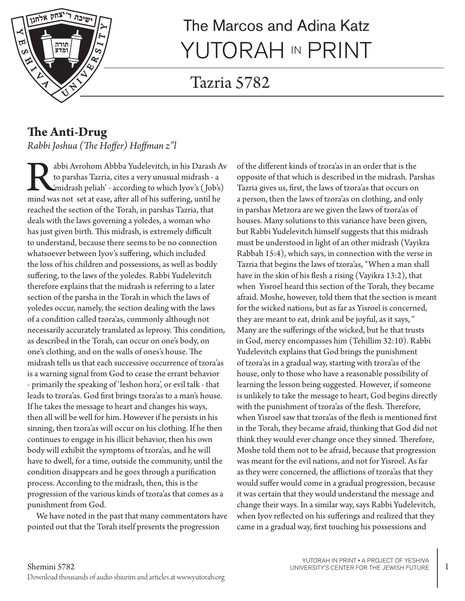

# The Marcos and Adina Katz YUTORAH IN PRINT

# Tazria 5782

#### **The Anti-Drug**  *Rabbi Joshua (The Hoffer) Hoffman z"l*

abbi Avrohom Abbba Yudelevitch, in his Darash Av<br>to parshas Tazria, cites a very unusual midrash - a<br>'midrash peliah' - according to which Iyov's (Job's)<br>mind was not set at ease, after all of his suffering, until he to parshas Tazria, cites a very unusual midrash - a 'midrash peliah' - according to which Iyov's ( Job's) mind was not set at ease, after all of his suffering, until he reached the section of the Torah, in parshas Tazria, that deals with the laws governing a yoledes, a woman who has just given birth. This midrash, is extremely difficult to understand, because there seems to be no connection whatsoever between Iyov's suffering, which included the loss of his children and possessions, as well as bodily suffering, to the laws of the yoledes. Rabbi Yudelevitch therefore explains that the midrash is referring to a later section of the parsha in the Torah in which the laws of yoledes occur, namely, the section dealing with the laws of a condition called tzora'as, commonly although not necessarily accurately translated as leprosy. This condition, as described in the Torah, can occur on one's body, on one's clothing, and on the walls of ones's house. The midrash tells us that each successive occurrence of tzora'as is a warning signal from God to cease the errant behavior - primarily the speaking of 'leshon hora', or evil talk - that leads to tzora'as. God first brings tzora'as to a man's house. If he takes the message to heart and changes his ways, then all will be well for him. However if he persists in his sinning, then tzora'as will occur on his clothing. If he then continues to engage in his illicit behavior, then his own body will exhibit the symptoms of tzora'as, and he will have to dwell, for a time, outside the community, until the condition disappears and he goes through a purification process. According to the midrash, then, this is the progression of the various kinds of tzora'as that comes as a punishment from God.

We have noted in the past that many commentators have pointed out that the Torah itself presents the progression

of the different kinds of tzora'as in an order that is the opposite of that which is described in the midrash. Parshas Tazria gives us, first, the laws of tzora'as that occurs on a person, then the laws of tzora'as on clothing, and only in parshas Metzora are we given the laws of tzora'as of houses. Many solutions to this variance have been given, but Rabbi Yudelevitch himself suggests that this midrash must be understood in light of an other midrash (Vayikra Rabbah 15:4), which says, in connection with the verse in Tazria that begins the laws of tzora'as, "When a man shall have in the skin of his flesh a rising (Vayikra 13:2), that when Yisroel heard this section of the Torah, they became afraid. Moshe, however, told them that the section is meant for the wicked nations, but as far as Yisroel is concerned, they are meant to eat, drink and be joyful, as it says, " Many are the sufferings of the wicked, but he that trusts in God, mercy encompasses him (Tehillim 32:10). Rabbi Yudelevitch explains that God brings the punishment of tzora'as in a gradual way, starting with tzora'as of the house, only to those who have a reasonable possibility of learning the lesson being suggested. However, if someone is unlikely to take the message to heart, God begins directly with the punishment of tzora'as of the flesh. Therefore, when Yisroel saw that tzora'as of the flesh is mentioned first in the Torah, they became afraid, thinking that God did not think they would ever change once they sinned. Therefore, Moshe told them not to be afraid, because that progression was meant for the evil nations, and not for Yisroel. As far as they were concerned, the afflictions of tzora'as that they would suffer would come in a gradual progression, because it was certain that they would understand the message and change their ways. In a similar way, says Rabbi Yudelevitch, when Iyov reflected on his sufferings and realized that they came in a gradual way, first touching his possessions and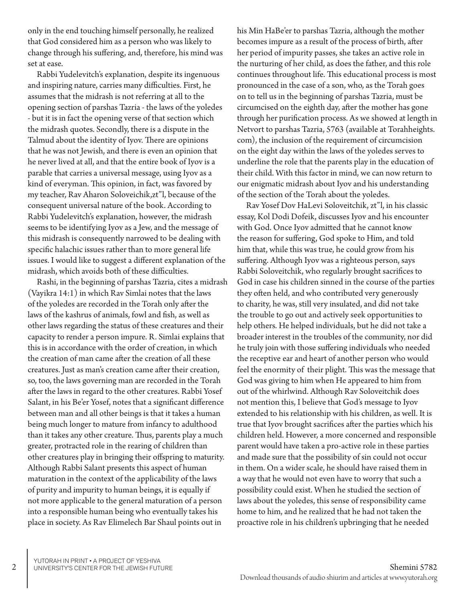only in the end touching himself personally, he realized that God considered him as a person who was likely to change through his suffering, and, therefore, his mind was set at ease.

Rabbi Yudelevitch's explanation, despite its ingenuous and inspiring nature, carries many difficulties. First, he assumes that the midrash is not referring at all to the opening section of parshas Tazria - the laws of the yoledes - but it is in fact the opening verse of that section which the midrash quotes. Secondly, there is a dispute in the Talmud about the identity of Iyov. There are opinions that he was not Jewish, and there is even an opinion that he never lived at all, and that the entire book of Iyov is a parable that carries a universal message, using Iyov as a kind of everyman. This opinion, in fact, was favored by my teacher, Rav Aharon Soloveichik,zt"l, because of the consequent universal nature of the book. According to Rabbi Yudelevitch's explanation, however, the midrash seems to be identifying Iyov as a Jew, and the message of this midrash is consequently narrowed to be dealing with specific halachic issues rather than to more general life issues. I would like to suggest a different explanation of the midrash, which avoids both of these difficulties.

Rashi, in the beginning of parshas Tazria, cites a midrash (Vayikra 14:1) in which Rav Simlai notes that the laws of the yoledes are recorded in the Torah only after the laws of the kashrus of animals, fowl and fish, as well as other laws regarding the status of these creatures and their capacity to render a person impure. R. Simlai explains that this is in accordance with the order of creation, in which the creation of man came after the creation of all these creatures. Just as man's creation came after their creation, so, too, the laws governing man are recorded in the Torah after the laws in regard to the other creatures. Rabbi Yosef Salant, in his Be'er Yosef, notes that a significant difference between man and all other beings is that it takes a human being much longer to mature from infancy to adulthood than it takes any other creature. Thus, parents play a much greater, protracted role in the rearing of children than other creatures play in bringing their offspring to maturity. Although Rabbi Salant presents this aspect of human maturation in the context of the applicability of the laws of purity and impurity to human beings, it is equally if not more applicable to the general maturation of a person into a responsible human being who eventually takes his place in society. As Rav Elimelech Bar Shaul points out in

his Min HaBe'er to parshas Tazria, although the mother becomes impure as a result of the process of birth, after her period of impurity passes, she takes an active role in the nurturing of her child, as does the father, and this role continues throughout life. This educational process is most pronounced in the case of a son, who, as the Torah goes on to tell us in the beginning of parshas Tazria, must be circumcised on the eighth day, after the mother has gone through her purification process. As we showed at length in Netvort to parshas Tazria, 5763 (available at Torahheights. com), the inclusion of the requirement of circumcision on the eight day within the laws of the yoledes serves to underline the role that the parents play in the education of their child. With this factor in mind, we can now return to our enigmatic midrash about Iyov and his understanding of the section of the Torah about the yoledes.

Rav Yosef Dov HaLevi Soloveitchik, zt"l, in his classic essay, Kol Dodi Dofeik, discusses Iyov and his encounter with God. Once Iyov admitted that he cannot know the reason for suffering, God spoke to Him, and told him that, while this was true, he could grow from his suffering. Although Iyov was a righteous person, says Rabbi Soloveitchik, who regularly brought sacrifices to God in case his children sinned in the course of the parties they often held, and who contributed very generously to charity, he was, still very insulated, and did not take the trouble to go out and actively seek opportunities to help others. He helped individuals, but he did not take a broader interest in the troubles of the community, nor did he truly join with those suffering individuals who needed the receptive ear and heart of another person who would feel the enormity of their plight. This was the message that God was giving to him when He appeared to him from out of the whirlwind. Although Rav Soloveitchik does not mention this, I believe that God's message to Iyov extended to his relationship with his children, as well. It is true that Iyov brought sacrifices after the parties which his children held. However, a more concerned and responsible parent would have taken a pro-active role in these parties and made sure that the possibility of sin could not occur in them. On a wider scale, he should have raised them in a way that he would not even have to worry that such a possibility could exist. When he studied the section of laws about the yoledes, this sense of responsibility came home to him, and he realized that he had not taken the proactive role in his children's upbringing that he needed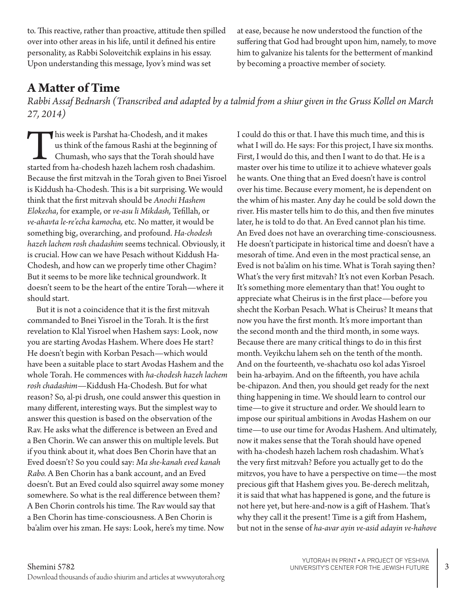to. This reactive, rather than proactive, attitude then spilled over into other areas in his life, until it defined his entire personality, as Rabbi Soloveitchik explains in his essay. Upon understanding this message, Iyov's mind was set

at ease, because he now understood the function of the suffering that God had brought upon him, namely, to move him to galvanize his talents for the betterment of mankind by becoming a proactive member of society.

### **A Matter of Time**

*Rabbi Assaf Bednarsh (Transcribed and adapted by a talmid from a shiur given in the Gruss Kollel on March 27, 2014)*

his week is Parshat ha-Chodesh, and it makes us think of the famous Rashi at the beginning of Chumash, who says that the Torah should have started from ha-chodesh hazeh lachem rosh chadashim. us think of the famous Rashi at the beginning of Chumash, who says that the Torah should have Because the first mitzvah in the Torah given to Bnei Yisroel is Kiddush ha-Chodesh. This is a bit surprising. We would think that the first mitzvah should be *Anochi Hashem Elokecha*, for example, or *ve-asu li Mikdash,* Tefillah, or *ve-ahavta le-re'echa kamocha,* etc. No matter, it would be something big, overarching, and profound. *Ha-chodesh hazeh lachem rosh chadashim* seems technical. Obviously, it is crucial. How can we have Pesach without Kiddush Ha-Chodesh, and how can we properly time other Chagim? But it seems to be more like technical groundwork. It doesn't seem to be the heart of the entire Torah—where it should start.

But it is not a coincidence that it is the first mitzvah commanded to Bnei Yisroel in the Torah. It is the first revelation to Klal Yisroel when Hashem says: Look, now you are starting Avodas Hashem. Where does He start? He doesn't begin with Korban Pesach—which would have been a suitable place to start Avodas Hashem and the whole Torah. He commences with *ha-chodesh hazeh lachem rosh chadashim*—Kiddush Ha-Chodesh. But for what reason? So, al-pi drush, one could answer this question in many different, interesting ways. But the simplest way to answer this question is based on the observation of the Rav. He asks what the difference is between an Eved and a Ben Chorin. We can answer this on multiple levels. But if you think about it, what does Ben Chorin have that an Eved doesn't? So you could say: *Ma she-kanah eved kanah Rabo.* A Ben Chorin has a bank account, and an Eved doesn't. But an Eved could also squirrel away some money somewhere. So what is the real difference between them? A Ben Chorin controls his time. The Rav would say that a Ben Chorin has time-consciousness. A Ben Chorin is ba'alim over his zman. He says: Look, here's my time. Now

I could do this or that. I have this much time, and this is what I will do. He says: For this project, I have six months. First, I would do this, and then I want to do that. He is a master over his time to utilize it to achieve whatever goals he wants. One thing that an Eved doesn't have is control over his time. Because every moment, he is dependent on the whim of his master. Any day he could be sold down the river. His master tells him to do this, and then five minutes later, he is told to do that. An Eved cannot plan his time. An Eved does not have an overarching time-consciousness. He doesn't participate in historical time and doesn't have a mesorah of time. And even in the most practical sense, an Eved is not ba'alim on his time. What is Torah saying then? What's the very first mitzvah? It's not even Korban Pesach. It's something more elementary than that! You ought to appreciate what Cheirus is in the first place—before you shecht the Korban Pesach. What is Cheirus? It means that now you have the first month. It's more important than the second month and the third month, in some ways. Because there are many critical things to do in this first month. Veyikchu lahem seh on the tenth of the month. And on the fourteenth, ve-shachatu oso kol adas Yisroel bein ha-arbayim. And on the fifteenth, you have achila be-chipazon. And then, you should get ready for the next thing happening in time. We should learn to control our time—to give it structure and order. We should learn to impose our spiritual ambitions in Avodas Hashem on our time—to use our time for Avodas Hashem. And ultimately, now it makes sense that the Torah should have opened with ha-chodesh hazeh lachem rosh chadashim. What's the very first mitzvah? Before you actually get to do the mitzvos, you have to have a perspective on time—the most precious gift that Hashem gives you. Be-derech melitzah, it is said that what has happened is gone, and the future is not here yet, but here-and-now is a gift of Hashem. That's why they call it the present! Time is a gift from Hashem, but not in the sense of *ha-avar ayin ve-asid adayin ve-hahove*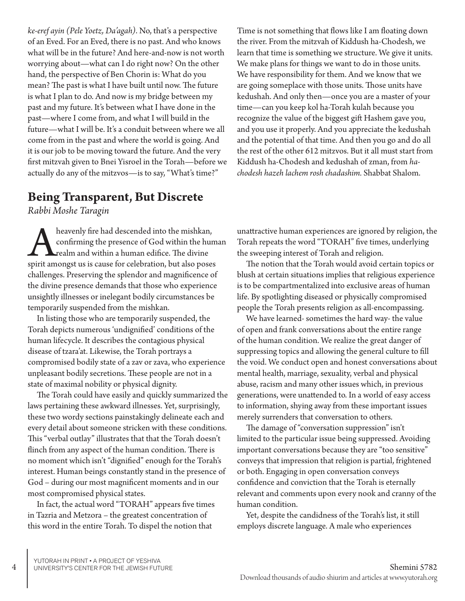*ke-eref ayin (Pele Yoetz, Da'agah)*. No, that's a perspective of an Eved. For an Eved, there is no past. And who knows what will be in the future? And here-and-now is not worth worrying about—what can I do right now? On the other hand, the perspective of Ben Chorin is: What do you mean? The past is what I have built until now. The future is what I plan to do. And now is my bridge between my past and my future. It's between what I have done in the past—where I come from, and what I will build in the future—what I will be. It's a conduit between where we all come from in the past and where the world is going. And it is our job to be moving toward the future. And the very first mitzvah given to Bnei Yisroel in the Torah—before we actually do any of the mitzvos—is to say, "What's time?"

Time is not something that flows like I am floating down the river. From the mitzvah of Kiddush ha-Chodesh, we learn that time is something we structure. We give it units. We make plans for things we want to do in those units. We have responsibility for them. And we know that we are going someplace with those units. Those units have kedushah. And only then—once you are a master of your time—can you keep kol ha-Torah kulah because you recognize the value of the biggest gift Hashem gave you, and you use it properly. And you appreciate the kedushah and the potential of that time. And then you go and do all the rest of the other 612 mitzvos. But it all must start from Kiddush ha-Chodesh and kedushah of zman, from *hachodesh hazeh lachem rosh chadashim.* Shabbat Shalom.

#### **Being Transparent, But Discrete**

*Rabbi Moshe Taragin*

heavenly fire had descended into the mishkan, confirming the presence of God within the hum realm and within a human edifice. The divine spirit amongst us is cause for celebration, but also poses confirming the presence of God within the human realm and within a human edifice. The divine challenges. Preserving the splendor and magnificence of the divine presence demands that those who experience unsightly illnesses or inelegant bodily circumstances be temporarily suspended from the mishkan.

In listing those who are temporarily suspended, the Torah depicts numerous 'undignified' conditions of the human lifecycle. It describes the contagious physical disease of tzara'at. Likewise, the Torah portrays a compromised bodily state of a zav or zava, who experience unpleasant bodily secretions. These people are not in a state of maximal nobility or physical dignity.

The Torah could have easily and quickly summarized the laws pertaining these awkward illnesses. Yet, surprisingly, these two wordy sections painstakingly delineate each and every detail about someone stricken with these conditions. This "verbal outlay" illustrates that that the Torah doesn't flinch from any aspect of the human condition. There is no moment which isn't "dignified" enough for the Torah's interest. Human beings constantly stand in the presence of God – during our most magnificent moments and in our most compromised physical states.

In fact, the actual word "TORAH" appears five times in Tazria and Metzora – the greatest concentration of this word in the entire Torah. To dispel the notion that

unattractive human experiences are ignored by religion, the Torah repeats the word "TORAH" five times, underlying the sweeping interest of Torah and religion.

The notion that the Torah would avoid certain topics or blush at certain situations implies that religious experience is to be compartmentalized into exclusive areas of human life. By spotlighting diseased or physically compromised people the Torah presents religion as all-encompassing.

We have learned- sometimes the hard way- the value of open and frank conversations about the entire range of the human condition. We realize the great danger of suppressing topics and allowing the general culture to fill the void. We conduct open and honest conversations about mental health, marriage, sexuality, verbal and physical abuse, racism and many other issues which, in previous generations, were unattended to. In a world of easy access to information, shying away from these important issues merely surrenders that conversation to others.

The damage of "conversation suppression" isn't limited to the particular issue being suppressed. Avoiding important conversations because they are "too sensitive" conveys that impression that religion is partial, frightened or both. Engaging in open conversation conveys confidence and conviction that the Torah is eternally relevant and comments upon every nook and cranny of the human condition.

Yet, despite the candidness of the Torah's list, it still employs discrete language. A male who experiences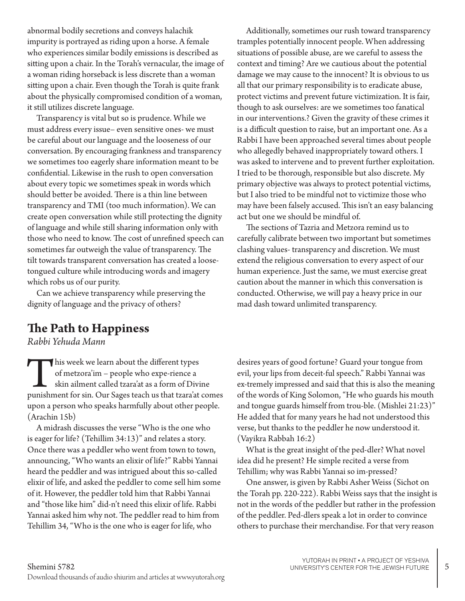abnormal bodily secretions and conveys halachik impurity is portrayed as riding upon a horse. A female who experiences similar bodily emissions is described as sitting upon a chair. In the Torah's vernacular, the image of a woman riding horseback is less discrete than a woman sitting upon a chair. Even though the Torah is quite frank about the physically compromised condition of a woman, it still utilizes discrete language.

Transparency is vital but so is prudence. While we must address every issue– even sensitive ones- we must be careful about our language and the looseness of our conversation. By encouraging frankness and transparency we sometimes too eagerly share information meant to be confidential. Likewise in the rush to open conversation about every topic we sometimes speak in words which should better be avoided. There is a thin line between transparency and TMI (too much information). We can create open conversation while still protecting the dignity of language and while still sharing information only with those who need to know. The cost of unrefined speech can sometimes far outweigh the value of transparency. The tilt towards transparent conversation has created a loosetongued culture while introducing words and imagery which robs us of our purity.

Can we achieve transparency while preserving the dignity of language and the privacy of others?

#### **The Path to Happiness**

*Rabbi Yehuda Mann*

This week we learn about the different types<br>of metzora'im – people who expe-rience a<br>skin ailment called tzara'at as a form of Divi<br>punishment for sin. Our Sages teach us that tzara'at of metzora'im – people who expe-rience a skin ailment called tzara'at as a form of Divine punishment for sin. Our Sages teach us that tzara'at comes upon a person who speaks harmfully about other people. (Arachin 15b)

A midrash discusses the verse "Who is the one who is eager for life? (Tehillim 34:13)" and relates a story. Once there was a peddler who went from town to town, announcing, "Who wants an elixir of life?" Rabbi Yannai heard the peddler and was intrigued about this so-called elixir of life, and asked the peddler to come sell him some of it. However, the peddler told him that Rabbi Yannai and "those like him" did-n't need this elixir of life. Rabbi Yannai asked him why not. The peddler read to him from Tehillim 34, "Who is the one who is eager for life, who

Additionally, sometimes our rush toward transparency tramples potentially innocent people. When addressing situations of possible abuse, are we careful to assess the context and timing? Are we cautious about the potential damage we may cause to the innocent? It is obvious to us all that our primary responsibility is to eradicate abuse, protect victims and prevent future victimization. It is fair, though to ask ourselves: are we sometimes too fanatical in our interventions.? Given the gravity of these crimes it is a difficult question to raise, but an important one. As a Rabbi I have been approached several times about people who allegedly behaved inappropriately toward others. I was asked to intervene and to prevent further exploitation. I tried to be thorough, responsible but also discrete. My primary objective was always to protect potential victims, but I also tried to be mindful not to victimize those who may have been falsely accused. This isn't an easy balancing act but one we should be mindful of.

The sections of Tazria and Metzora remind us to carefully calibrate between two important but sometimes clashing values- transparency and discretion. We must extend the religious conversation to every aspect of our human experience. Just the same, we must exercise great caution about the manner in which this conversation is conducted. Otherwise, we will pay a heavy price in our mad dash toward unlimited transparency.

desires years of good fortune? Guard your tongue from evil, your lips from deceit-ful speech." Rabbi Yannai was ex-tremely impressed and said that this is also the meaning of the words of King Solomon, "He who guards his mouth and tongue guards himself from trou-ble. (Mishlei 21:23)" He added that for many years he had not understood this verse, but thanks to the peddler he now understood it. (Vayikra Rabbah 16:2)

What is the great insight of the ped-dler? What novel idea did he present? He simple recited a verse from Tehillim; why was Rabbi Yannai so im-pressed?

One answer, is given by Rabbi Asher Weiss (Sichot on the Torah pp. 220-222). Rabbi Weiss says that the insight is not in the words of the peddler but rather in the profession of the peddler. Ped-dlers speak a lot in order to convince others to purchase their merchandise. For that very reason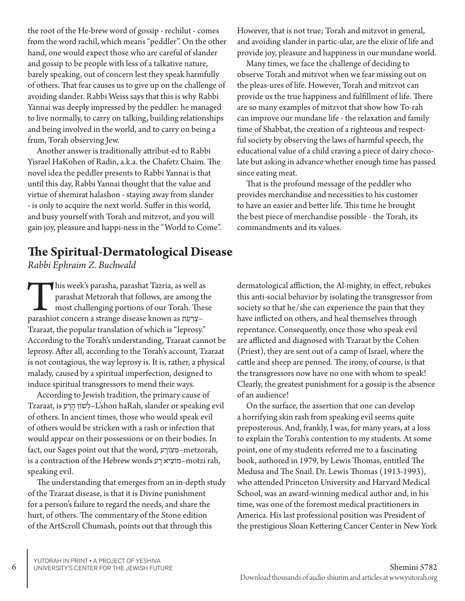the root of the He-brew word of gossip - rechilut - comes from the word rachil, which means "peddler". On the other hand, one would expect those who are careful of slander and gossip to be people with less of a talkative nature, barely speaking, out of concern lest they speak harmfully of others. That fear causes us to give up on the challenge of avoiding slander. Rabbi Weiss says that this is why Rabbi Yannai was deeply impressed by the peddler: he managed to live normally, to carry on talking, building relationships and being involved in the world, and to carry on being a frum, Torah observing Jew.

Another answer is traditionally attribut-ed to Rabbi Yisrael HaKohen of Radin, a.k.a. the Chafetz Chaim. The novel idea the peddler presents to Rabbi Yannai is that until this day, Rabbi Yannai thought that the value and virtue of shemirat halashon - staying away from slander - is only to acquire the next world. Suffer in this world, and busy yourself with Torah and mitzvot, and you will gain joy, pleasure and happi-ness in the "World to Come".

#### However, that is not true; Torah and mitzvot in general, and avoiding slander in partic-ular, are the elixir of life and provide joy, pleasure and happiness in our mundane world.

Many times, we face the challenge of deciding to observe Torah and mitzvot when we fear missing out on the pleas-ures of life. However, Torah and mitzvot can provide us the true happiness and fulfillment of life. There are so many examples of mitzvot that show how To-rah can improve our mundane life - the relaxation and family time of Shabbat, the creation of a righteous and respectful society by observing the laws of harmful speech, the educational value of a child craving a piece of dairy chocolate but asking in advance whether enough time has passed since eating meat.

That is the profound message of the peddler who provides merchandise and necessities to his customer to have an easier and better life. This time he brought the best piece of merchandise possible - the Torah, its commandments and its values.

## **The Spiritual-Dermatological Disease**

*Rabbi Ephraim Z. Buchwald*

his week's parasha, parashat Tazria, as well as parashat Metzorah that follows, are among the most challenging portions of our Torah. Thes parashiot concern a strange disease known as  $n$ עְיַעַר parashat Metzorah that follows, are among the most challenging portions of our Torah. These Tzaraat, the popular translation of which is "leprosy." According to the Torah's understanding, Tzaraat cannot be leprosy. After all, according to the Torah's account, Tzaraat is not contagious, the way leprosy is. It is, rather, a physical malady, caused by a spiritual imperfection, designed to induce spiritual transgressors to mend their ways.

According to Jewish tradition, the primary cause of Tzaraat, is לְשׁוֹן הַרַע L'shon haRah, slander or speaking evil of others. In ancient times, those who would speak evil of others would be stricken with a rash or infection that would appear on their possessions or on their bodies. In fact, our Sages point out that the word, ע ָצוֹר ְמ–metzorah, is a contraction of the Hebrew words ע ָר יא ִמוֹצ–motzi rah, speaking evil.

The understanding that emerges from an in-depth study of the Tzaraat disease, is that it is Divine punishment for a person's failure to regard the needs, and share the hurt, of others. The commentary of the Stone edition of the ArtScroll Chumash, points out that through this

dermatological affliction, the Al-mighty, in effect, rebukes this anti-social behavior by isolating the transgressor from society so that he/she can experience the pain that they have inflicted on others, and heal themselves through repentance. Consequently, once those who speak evil are afflicted and diagnosed with Tzaraat by the Cohen (Priest), they are sent out of a camp of Israel, where the cattle and sheep are penned. The irony, of course, is that the transgressors now have no one with whom to speak! Clearly, the greatest punishment for a gossip is the absence of an audience!

On the surface, the assertion that one can develop a horrifying skin rash from speaking evil seems quite preposterous. And, frankly, I was, for many years, at a loss to explain the Torah's contention to my students. At some point, one of my students referred me to a fascinating book, authored in 1979, by Lewis Thomas, entitled The Medusa and The Snail. Dr. Lewis Thomas (1913-1993), who attended Princeton University and Harvard Medical School, was an award-winning medical author and, in his time, was one of the foremost medical practitioners in America. His last professional position was President of the prestigious Sloan Kettering Cancer Center in New York